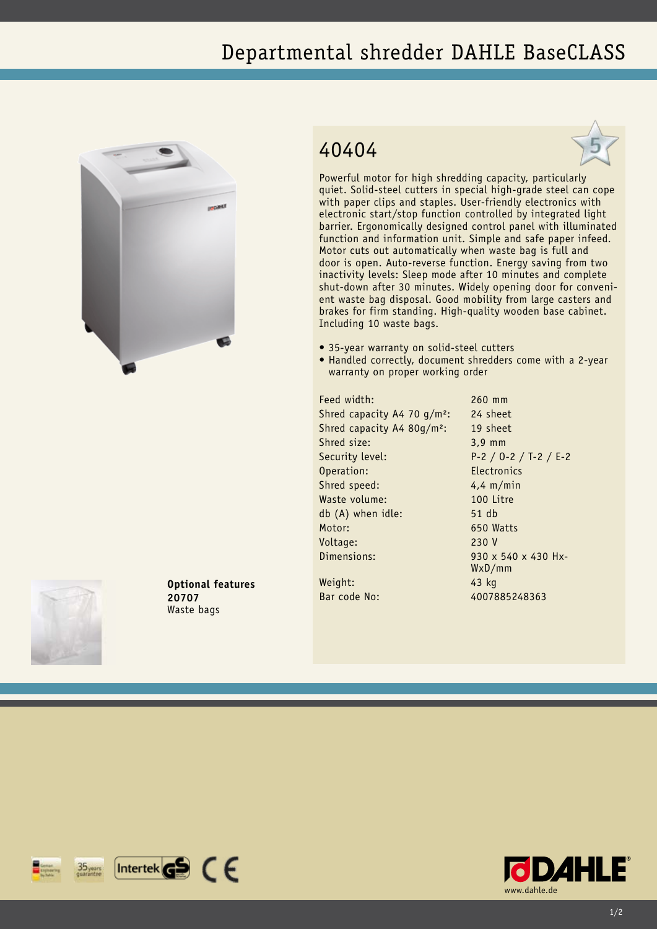## Departmental shredder DAHLE BaseCLASS



## 40404



Powerful motor for high shredding capacity, particularly quiet. Solid-steel cutters in special high-grade steel can cope with paper clips and staples. User-friendly electronics with electronic start/stop function controlled by integrated light barrier. Ergonomically designed control panel with illuminated function and information unit. Simple and safe paper infeed. Motor cuts out automatically when waste bag is full and door is open. Auto-reverse function. Energy saving from two inactivity levels: Sleep mode after 10 minutes and complete shut-down after 30 minutes. Widely opening door for convenient waste bag disposal. Good mobility from large casters and brakes for firm standing. High-quality wooden base cabinet. Including 10 waste bags.

- 35-year warranty on solid-steel cutters
- Handled correctly, document shredders come with a 2-year warranty on proper working order

Feed width: 260 mm Shred capacity A4 70 g/m<sup>2</sup>: 24 sheet Shred capacity A4 80g/m²: 19 sheet Shred size: 3,9 mm Security level: P-2 / O-2 / T-2 / E-2 Operation: Electronics Shred speed: 4,4 m/min Waste volume: 100 Litre db (A) when idle: 51 db Motor: 650 Watts Voltage: 230 V Dimensions: 930 x 540 x 430 Hx-

WxD/mm

Weight: 43 kg Bar code No: 4007885248363



**Optional features 20707** Waste bags